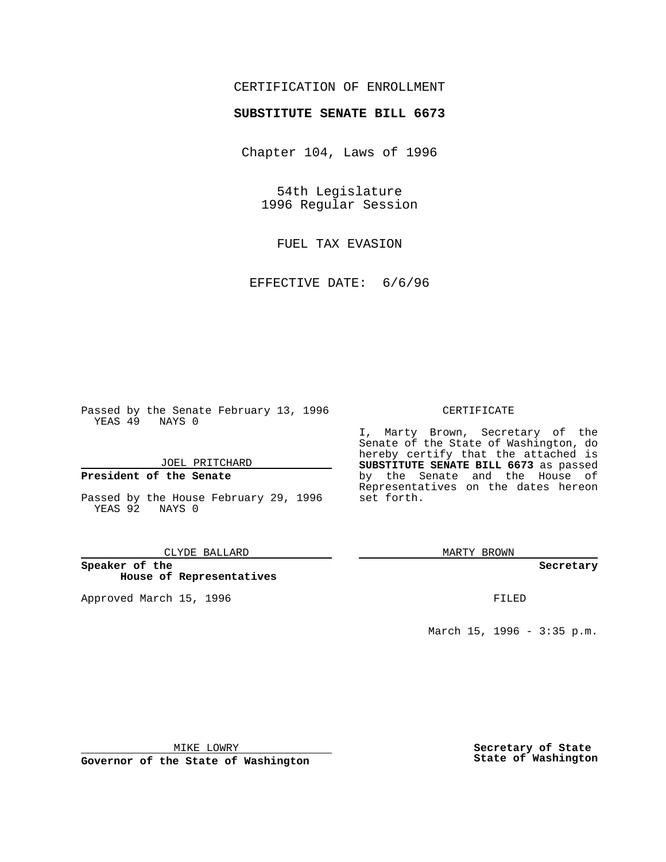## CERTIFICATION OF ENROLLMENT

# **SUBSTITUTE SENATE BILL 6673**

Chapter 104, Laws of 1996

54th Legislature 1996 Regular Session

FUEL TAX EVASION

EFFECTIVE DATE: 6/6/96

Passed by the Senate February 13, 1996 YEAS 49 NAYS 0

JOEL PRITCHARD

### **President of the Senate**

Passed by the House February 29, 1996 YEAS 92 NAYS 0

CLYDE BALLARD

**Speaker of the House of Representatives**

Approved March 15, 1996 **FILED** 

#### CERTIFICATE

I, Marty Brown, Secretary of the Senate of the State of Washington, do hereby certify that the attached is **SUBSTITUTE SENATE BILL 6673** as passed by the Senate and the House of Representatives on the dates hereon set forth.

MARTY BROWN

#### **Secretary**

March 15, 1996 - 3:35 p.m.

MIKE LOWRY

**Governor of the State of Washington**

**Secretary of State State of Washington**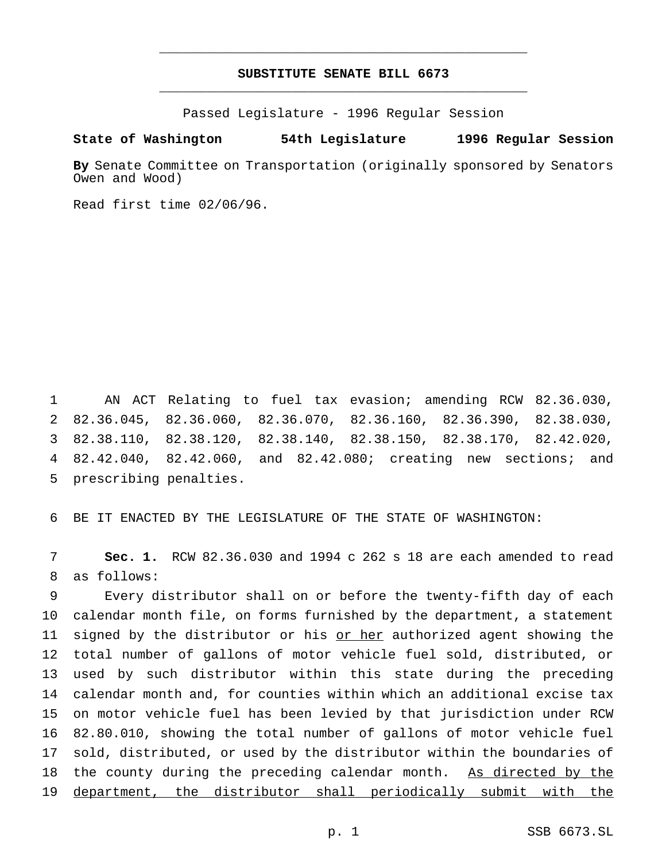## **SUBSTITUTE SENATE BILL 6673** \_\_\_\_\_\_\_\_\_\_\_\_\_\_\_\_\_\_\_\_\_\_\_\_\_\_\_\_\_\_\_\_\_\_\_\_\_\_\_\_\_\_\_\_\_\_\_

\_\_\_\_\_\_\_\_\_\_\_\_\_\_\_\_\_\_\_\_\_\_\_\_\_\_\_\_\_\_\_\_\_\_\_\_\_\_\_\_\_\_\_\_\_\_\_

Passed Legislature - 1996 Regular Session

### **State of Washington 54th Legislature 1996 Regular Session**

**By** Senate Committee on Transportation (originally sponsored by Senators Owen and Wood)

Read first time 02/06/96.

 AN ACT Relating to fuel tax evasion; amending RCW 82.36.030, 82.36.045, 82.36.060, 82.36.070, 82.36.160, 82.36.390, 82.38.030, 82.38.110, 82.38.120, 82.38.140, 82.38.150, 82.38.170, 82.42.020, 82.42.040, 82.42.060, and 82.42.080; creating new sections; and prescribing penalties.

BE IT ENACTED BY THE LEGISLATURE OF THE STATE OF WASHINGTON:

 **Sec. 1.** RCW 82.36.030 and 1994 c 262 s 18 are each amended to read as follows:

 Every distributor shall on or before the twenty-fifth day of each calendar month file, on forms furnished by the department, a statement 11 signed by the distributor or his or her authorized agent showing the total number of gallons of motor vehicle fuel sold, distributed, or used by such distributor within this state during the preceding calendar month and, for counties within which an additional excise tax on motor vehicle fuel has been levied by that jurisdiction under RCW 82.80.010, showing the total number of gallons of motor vehicle fuel sold, distributed, or used by the distributor within the boundaries of 18 the county during the preceding calendar month. As directed by the department, the distributor shall periodically submit with the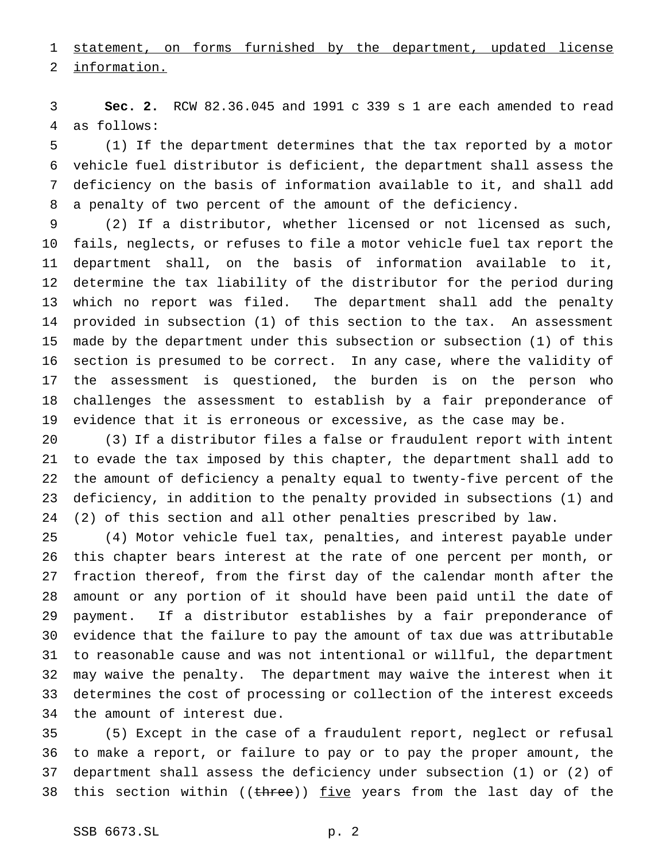statement, on forms furnished by the department, updated license

information.

 **Sec. 2.** RCW 82.36.045 and 1991 c 339 s 1 are each amended to read as follows:

 (1) If the department determines that the tax reported by a motor vehicle fuel distributor is deficient, the department shall assess the deficiency on the basis of information available to it, and shall add a penalty of two percent of the amount of the deficiency.

 (2) If a distributor, whether licensed or not licensed as such, fails, neglects, or refuses to file a motor vehicle fuel tax report the department shall, on the basis of information available to it, determine the tax liability of the distributor for the period during which no report was filed. The department shall add the penalty provided in subsection (1) of this section to the tax. An assessment made by the department under this subsection or subsection (1) of this section is presumed to be correct. In any case, where the validity of the assessment is questioned, the burden is on the person who challenges the assessment to establish by a fair preponderance of evidence that it is erroneous or excessive, as the case may be.

 (3) If a distributor files a false or fraudulent report with intent to evade the tax imposed by this chapter, the department shall add to the amount of deficiency a penalty equal to twenty-five percent of the deficiency, in addition to the penalty provided in subsections (1) and (2) of this section and all other penalties prescribed by law.

 (4) Motor vehicle fuel tax, penalties, and interest payable under this chapter bears interest at the rate of one percent per month, or fraction thereof, from the first day of the calendar month after the amount or any portion of it should have been paid until the date of payment. If a distributor establishes by a fair preponderance of evidence that the failure to pay the amount of tax due was attributable to reasonable cause and was not intentional or willful, the department may waive the penalty. The department may waive the interest when it determines the cost of processing or collection of the interest exceeds the amount of interest due.

 (5) Except in the case of a fraudulent report, neglect or refusal to make a report, or failure to pay or to pay the proper amount, the department shall assess the deficiency under subsection (1) or (2) of 38 this section within  $($  (three)) <u>five</u> years from the last day of the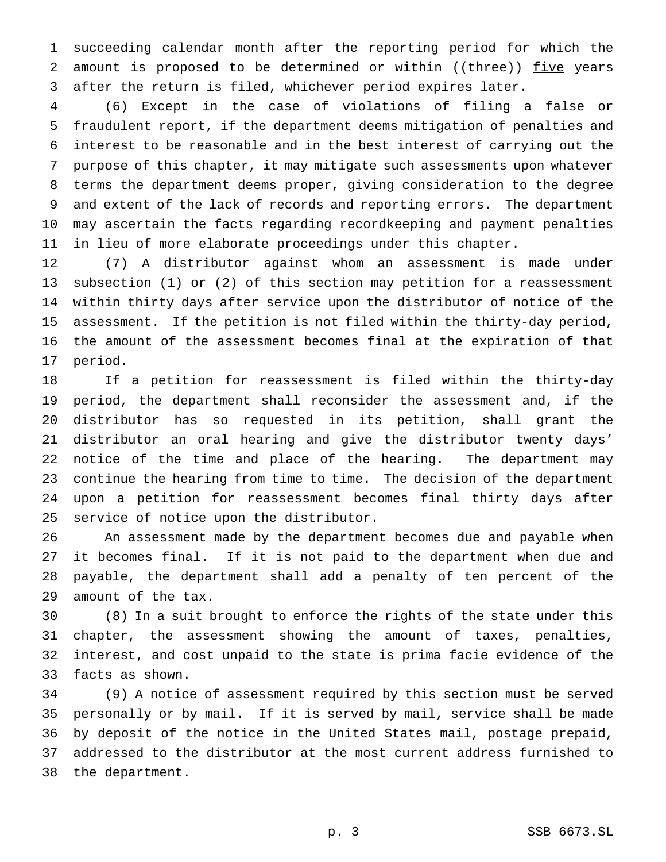succeeding calendar month after the reporting period for which the 2 amount is proposed to be determined or within ((three)) five years after the return is filed, whichever period expires later.

 (6) Except in the case of violations of filing a false or fraudulent report, if the department deems mitigation of penalties and interest to be reasonable and in the best interest of carrying out the purpose of this chapter, it may mitigate such assessments upon whatever terms the department deems proper, giving consideration to the degree and extent of the lack of records and reporting errors. The department may ascertain the facts regarding recordkeeping and payment penalties in lieu of more elaborate proceedings under this chapter.

 (7) A distributor against whom an assessment is made under subsection (1) or (2) of this section may petition for a reassessment within thirty days after service upon the distributor of notice of the assessment. If the petition is not filed within the thirty-day period, the amount of the assessment becomes final at the expiration of that period.

 If a petition for reassessment is filed within the thirty-day period, the department shall reconsider the assessment and, if the distributor has so requested in its petition, shall grant the distributor an oral hearing and give the distributor twenty days' notice of the time and place of the hearing. The department may continue the hearing from time to time. The decision of the department upon a petition for reassessment becomes final thirty days after service of notice upon the distributor.

 An assessment made by the department becomes due and payable when it becomes final. If it is not paid to the department when due and payable, the department shall add a penalty of ten percent of the amount of the tax.

 (8) In a suit brought to enforce the rights of the state under this chapter, the assessment showing the amount of taxes, penalties, interest, and cost unpaid to the state is prima facie evidence of the facts as shown.

 (9) A notice of assessment required by this section must be served personally or by mail. If it is served by mail, service shall be made by deposit of the notice in the United States mail, postage prepaid, addressed to the distributor at the most current address furnished to the department.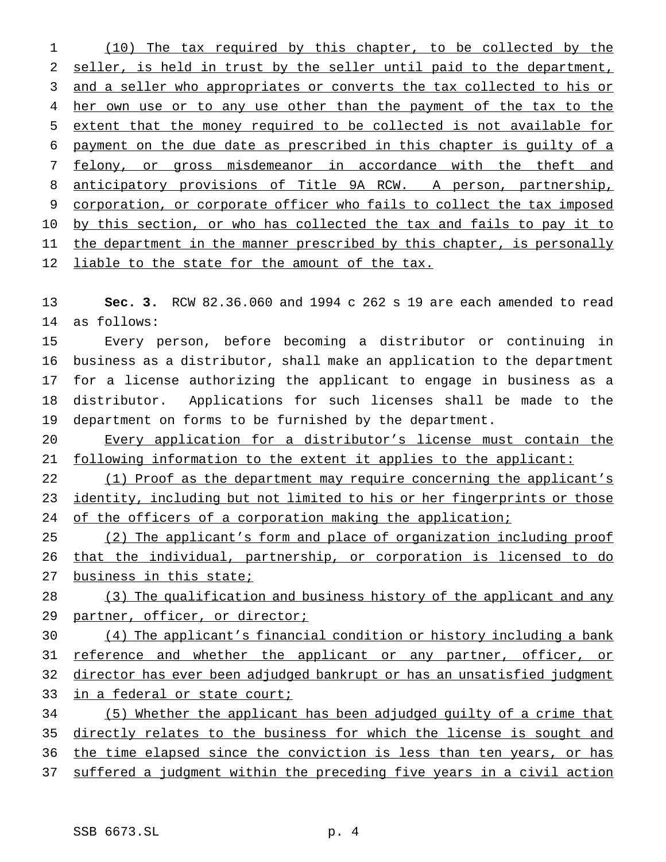(10) The tax required by this chapter, to be collected by the seller, is held in trust by the seller until paid to the department, 3 and a seller who appropriates or converts the tax collected to his or 4 her own use or to any use other than the payment of the tax to the extent that the money required to be collected is not available for payment on the due date as prescribed in this chapter is guilty of a 7 felony, or gross misdemeanor in accordance with the theft and anticipatory provisions of Title 9A RCW. A person, partnership, corporation, or corporate officer who fails to collect the tax imposed by this section, or who has collected the tax and fails to pay it to 11 the department in the manner prescribed by this chapter, is personally 12 liable to the state for the amount of the tax.

 **Sec. 3.** RCW 82.36.060 and 1994 c 262 s 19 are each amended to read as follows:

 Every person, before becoming a distributor or continuing in business as a distributor, shall make an application to the department for a license authorizing the applicant to engage in business as a distributor. Applications for such licenses shall be made to the department on forms to be furnished by the department.

 Every application for a distributor's license must contain the 21 following information to the extent it applies to the applicant:

 (1) Proof as the department may require concerning the applicant's identity, including but not limited to his or her fingerprints or those 24 of the officers of a corporation making the application;

 (2) The applicant's form and place of organization including proof that the individual, partnership, or corporation is licensed to do 27 business in this state;

 (3) The qualification and business history of the applicant and any 29 partner, officer, or director;

 (4) The applicant's financial condition or history including a bank 31 reference and whether the applicant or any partner, officer, or 32 director has ever been adjudged bankrupt or has an unsatisfied judgment 33 in a federal or state court;

 (5) Whether the applicant has been adjudged guilty of a crime that directly relates to the business for which the license is sought and 36 the time elapsed since the conviction is less than ten years, or has suffered a judgment within the preceding five years in a civil action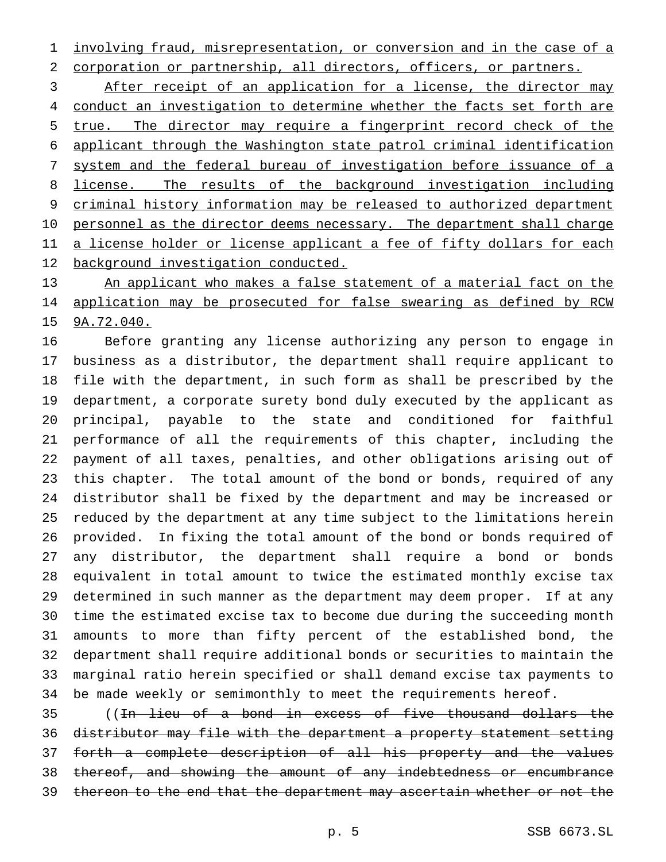involving fraud, misrepresentation, or conversion and in the case of a corporation or partnership, all directors, officers, or partners.

3 After receipt of an application for a license, the director may 4 conduct an investigation to determine whether the facts set forth are true. The director may require a fingerprint record check of the applicant through the Washington state patrol criminal identification system and the federal bureau of investigation before issuance of a license. The results of the background investigation including criminal history information may be released to authorized department 10 personnel as the director deems necessary. The department shall charge 11 a license holder or license applicant a fee of fifty dollars for each background investigation conducted.

13 An applicant who makes a false statement of a material fact on the 14 application may be prosecuted for false swearing as defined by RCW 9A.72.040.

 Before granting any license authorizing any person to engage in business as a distributor, the department shall require applicant to file with the department, in such form as shall be prescribed by the department, a corporate surety bond duly executed by the applicant as principal, payable to the state and conditioned for faithful performance of all the requirements of this chapter, including the payment of all taxes, penalties, and other obligations arising out of this chapter. The total amount of the bond or bonds, required of any distributor shall be fixed by the department and may be increased or reduced by the department at any time subject to the limitations herein provided. In fixing the total amount of the bond or bonds required of any distributor, the department shall require a bond or bonds equivalent in total amount to twice the estimated monthly excise tax determined in such manner as the department may deem proper. If at any time the estimated excise tax to become due during the succeeding month amounts to more than fifty percent of the established bond, the department shall require additional bonds or securities to maintain the marginal ratio herein specified or shall demand excise tax payments to be made weekly or semimonthly to meet the requirements hereof.

 ((In lieu of a bond in excess of five thousand dollars the distributor may file with the department a property statement setting forth a complete description of all his property and the values 38 thereof, and showing the amount of any indebtedness or encumbrance 39 thereon to the end that the department may ascertain whether or not the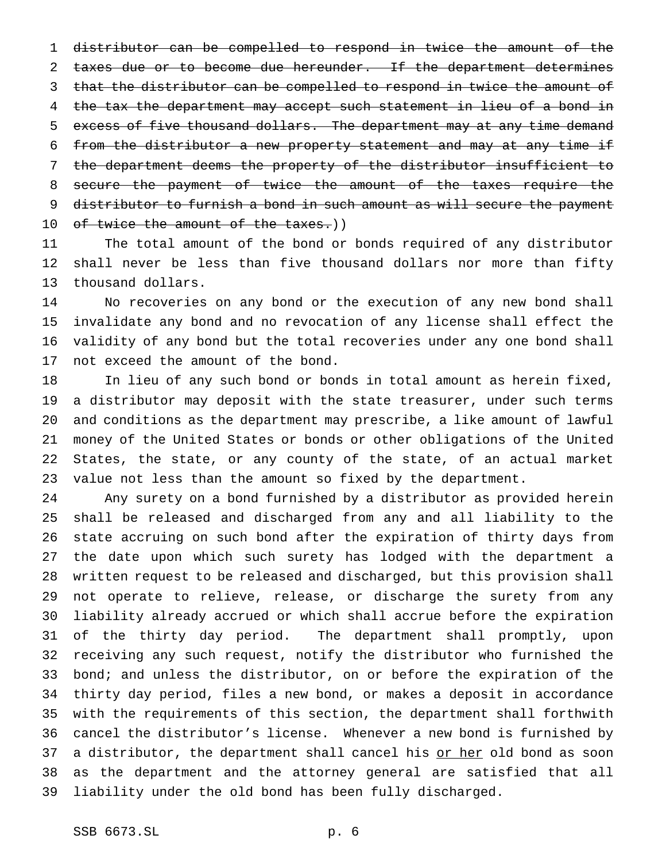distributor can be compelled to respond in twice the amount of the 2 taxes due or to become due hereunder. If the department determines 3 that the distributor can be compelled to respond in twice the amount of the tax the department may accept such statement in lieu of a bond in excess of five thousand dollars. The department may at any time demand 6 from the distributor a new property statement and may at any time if the department deems the property of the distributor insufficient to secure the payment of twice the amount of the taxes require the distributor to furnish a bond in such amount as will secure the payment 10 of twice the amount of the taxes.))

 The total amount of the bond or bonds required of any distributor shall never be less than five thousand dollars nor more than fifty thousand dollars.

 No recoveries on any bond or the execution of any new bond shall invalidate any bond and no revocation of any license shall effect the validity of any bond but the total recoveries under any one bond shall not exceed the amount of the bond.

 In lieu of any such bond or bonds in total amount as herein fixed, a distributor may deposit with the state treasurer, under such terms and conditions as the department may prescribe, a like amount of lawful money of the United States or bonds or other obligations of the United States, the state, or any county of the state, of an actual market value not less than the amount so fixed by the department.

 Any surety on a bond furnished by a distributor as provided herein shall be released and discharged from any and all liability to the state accruing on such bond after the expiration of thirty days from the date upon which such surety has lodged with the department a written request to be released and discharged, but this provision shall not operate to relieve, release, or discharge the surety from any liability already accrued or which shall accrue before the expiration of the thirty day period. The department shall promptly, upon receiving any such request, notify the distributor who furnished the bond; and unless the distributor, on or before the expiration of the thirty day period, files a new bond, or makes a deposit in accordance with the requirements of this section, the department shall forthwith cancel the distributor's license. Whenever a new bond is furnished by 37 a distributor, the department shall cancel his or her old bond as soon as the department and the attorney general are satisfied that all liability under the old bond has been fully discharged.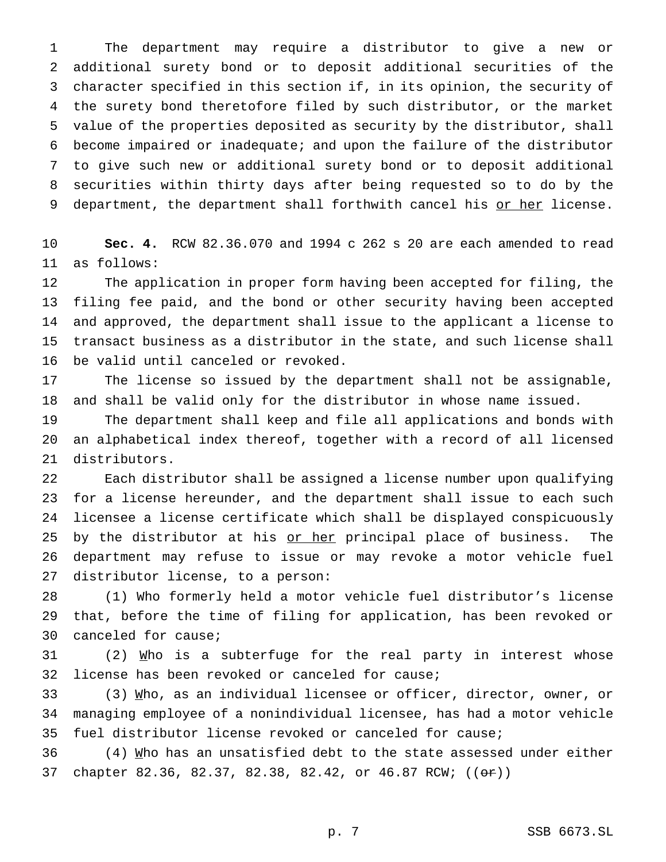The department may require a distributor to give a new or additional surety bond or to deposit additional securities of the character specified in this section if, in its opinion, the security of the surety bond theretofore filed by such distributor, or the market value of the properties deposited as security by the distributor, shall become impaired or inadequate; and upon the failure of the distributor to give such new or additional surety bond or to deposit additional securities within thirty days after being requested so to do by the 9 department, the department shall forthwith cancel his or her license.

 **Sec. 4.** RCW 82.36.070 and 1994 c 262 s 20 are each amended to read as follows:

 The application in proper form having been accepted for filing, the filing fee paid, and the bond or other security having been accepted and approved, the department shall issue to the applicant a license to transact business as a distributor in the state, and such license shall be valid until canceled or revoked.

 The license so issued by the department shall not be assignable, and shall be valid only for the distributor in whose name issued.

 The department shall keep and file all applications and bonds with an alphabetical index thereof, together with a record of all licensed distributors.

 Each distributor shall be assigned a license number upon qualifying for a license hereunder, and the department shall issue to each such licensee a license certificate which shall be displayed conspicuously 25 by the distributor at his or her principal place of business. The department may refuse to issue or may revoke a motor vehicle fuel distributor license, to a person:

 (1) Who formerly held a motor vehicle fuel distributor's license that, before the time of filing for application, has been revoked or canceled for cause;

 (2)  $\text{Mho}$  is a subterfuge for the real party in interest whose license has been revoked or canceled for cause;

 (3) Who, as an individual licensee or officer, director, owner, or managing employee of a nonindividual licensee, has had a motor vehicle fuel distributor license revoked or canceled for cause;

 (4) Who has an unsatisfied debt to the state assessed under either 37 chapter 82.36, 82.37, 82.38, 82.42, or 46.87 RCW; (( $\Theta$ r))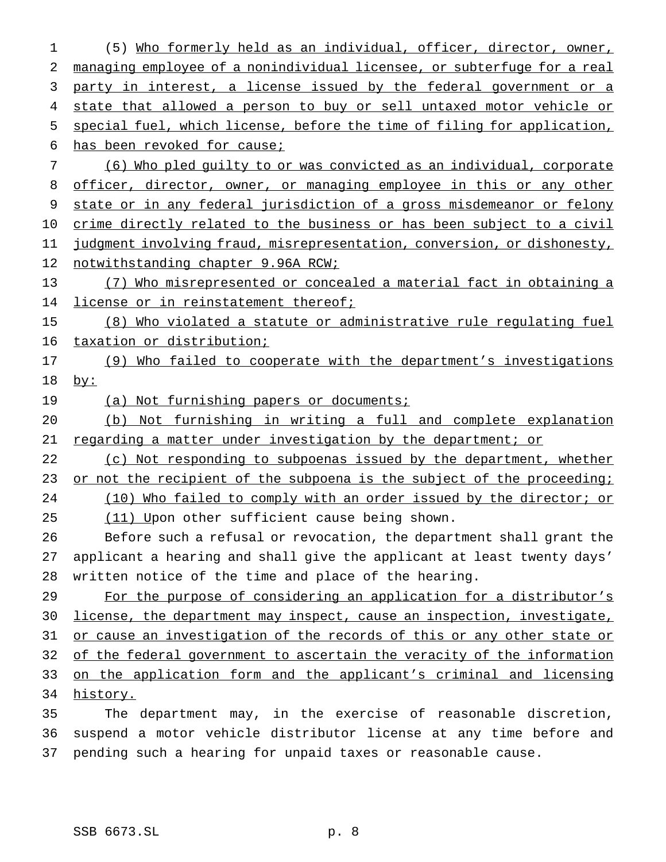(5) Who formerly held as an individual, officer, director, owner, managing employee of a nonindividual licensee, or subterfuge for a real party in interest, a license issued by the federal government or a 4 state that allowed a person to buy or sell untaxed motor vehicle or 5 special fuel, which license, before the time of filing for application, has been revoked for cause; (6) Who pled guilty to or was convicted as an individual, corporate 8 officer, director, owner, or managing employee in this or any other state or in any federal jurisdiction of a gross misdemeanor or felony crime directly related to the business or has been subject to a civil judgment involving fraud, misrepresentation, conversion, or dishonesty, 12 notwithstanding chapter 9.96A RCW; (7) Who misrepresented or concealed a material fact in obtaining a 14 license or in reinstatement thereof; (8) Who violated a statute or administrative rule regulating fuel taxation or distribution; (9) Who failed to cooperate with the department's investigations by: 19 (a) Not furnishing papers or documents; (b) Not furnishing in writing a full and complete explanation regarding a matter under investigation by the department; or 22 (c) Not responding to subpoenas issued by the department, whether 23 or not the recipient of the subpoena is the subject of the proceeding; 24 (10) Who failed to comply with an order issued by the director; or (11) Upon other sufficient cause being shown. Before such a refusal or revocation, the department shall grant the applicant a hearing and shall give the applicant at least twenty days' written notice of the time and place of the hearing. 29 For the purpose of considering an application for a distributor's license, the department may inspect, cause an inspection, investigate, or cause an investigation of the records of this or any other state or of the federal government to ascertain the veracity of the information on the application form and the applicant's criminal and licensing history. The department may, in the exercise of reasonable discretion, suspend a motor vehicle distributor license at any time before and pending such a hearing for unpaid taxes or reasonable cause.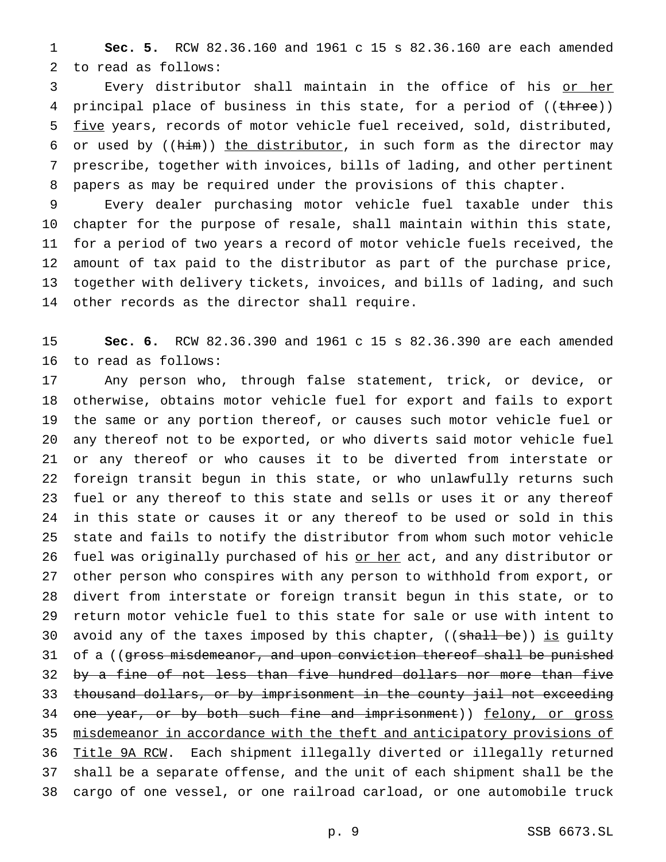**Sec. 5.** RCW 82.36.160 and 1961 c 15 s 82.36.160 are each amended to read as follows:

3 Every distributor shall maintain in the office of his or her 4 principal place of business in this state, for a period of ((three)) five years, records of motor vehicle fuel received, sold, distributed, 6 or used by  $((\text{him}))$  the distributor, in such form as the director may prescribe, together with invoices, bills of lading, and other pertinent papers as may be required under the provisions of this chapter.

 Every dealer purchasing motor vehicle fuel taxable under this chapter for the purpose of resale, shall maintain within this state, for a period of two years a record of motor vehicle fuels received, the amount of tax paid to the distributor as part of the purchase price, together with delivery tickets, invoices, and bills of lading, and such other records as the director shall require.

 **Sec. 6.** RCW 82.36.390 and 1961 c 15 s 82.36.390 are each amended to read as follows:

 Any person who, through false statement, trick, or device, or otherwise, obtains motor vehicle fuel for export and fails to export the same or any portion thereof, or causes such motor vehicle fuel or any thereof not to be exported, or who diverts said motor vehicle fuel or any thereof or who causes it to be diverted from interstate or foreign transit begun in this state, or who unlawfully returns such fuel or any thereof to this state and sells or uses it or any thereof in this state or causes it or any thereof to be used or sold in this state and fails to notify the distributor from whom such motor vehicle fuel was originally purchased of his or her act, and any distributor or other person who conspires with any person to withhold from export, or divert from interstate or foreign transit begun in this state, or to return motor vehicle fuel to this state for sale or use with intent to 30 avoid any of the taxes imposed by this chapter, ((shall be)) is guilty 31 of a ((gross misdemeanor, and upon conviction thereof shall be punished 32 by a fine of not less than five hundred dollars nor more than five thousand dollars, or by imprisonment in the county jail not exceeding 34 one year, or by both such fine and imprisonment)) felony, or gross 35 misdemeanor in accordance with the theft and anticipatory provisions of Title 9A RCW. Each shipment illegally diverted or illegally returned shall be a separate offense, and the unit of each shipment shall be the cargo of one vessel, or one railroad carload, or one automobile truck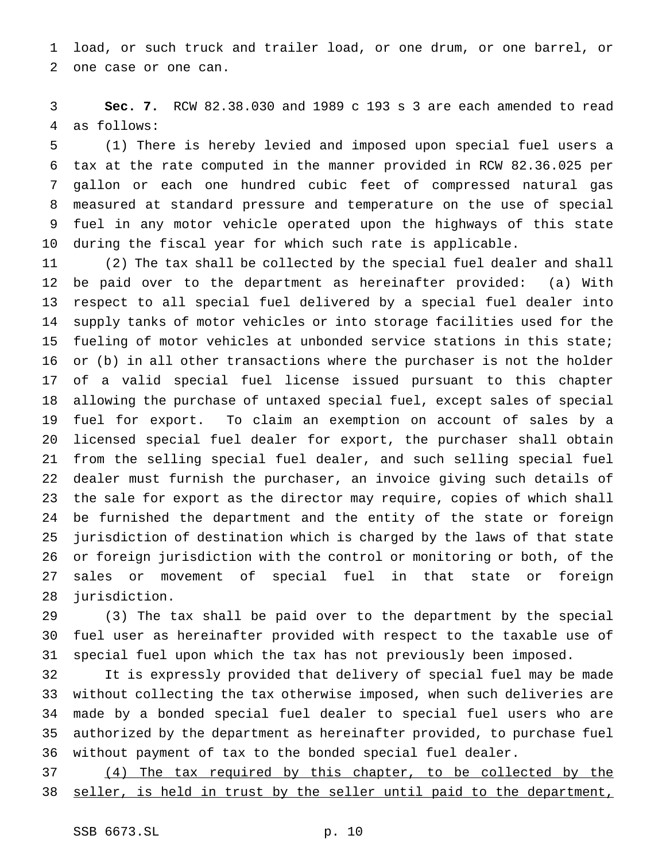load, or such truck and trailer load, or one drum, or one barrel, or one case or one can.

 **Sec. 7.** RCW 82.38.030 and 1989 c 193 s 3 are each amended to read as follows:

 (1) There is hereby levied and imposed upon special fuel users a tax at the rate computed in the manner provided in RCW 82.36.025 per gallon or each one hundred cubic feet of compressed natural gas measured at standard pressure and temperature on the use of special fuel in any motor vehicle operated upon the highways of this state during the fiscal year for which such rate is applicable.

 (2) The tax shall be collected by the special fuel dealer and shall be paid over to the department as hereinafter provided: (a) With respect to all special fuel delivered by a special fuel dealer into supply tanks of motor vehicles or into storage facilities used for the fueling of motor vehicles at unbonded service stations in this state; or (b) in all other transactions where the purchaser is not the holder of a valid special fuel license issued pursuant to this chapter allowing the purchase of untaxed special fuel, except sales of special fuel for export. To claim an exemption on account of sales by a licensed special fuel dealer for export, the purchaser shall obtain from the selling special fuel dealer, and such selling special fuel dealer must furnish the purchaser, an invoice giving such details of the sale for export as the director may require, copies of which shall be furnished the department and the entity of the state or foreign jurisdiction of destination which is charged by the laws of that state or foreign jurisdiction with the control or monitoring or both, of the sales or movement of special fuel in that state or foreign jurisdiction.

 (3) The tax shall be paid over to the department by the special fuel user as hereinafter provided with respect to the taxable use of special fuel upon which the tax has not previously been imposed.

 It is expressly provided that delivery of special fuel may be made without collecting the tax otherwise imposed, when such deliveries are made by a bonded special fuel dealer to special fuel users who are authorized by the department as hereinafter provided, to purchase fuel without payment of tax to the bonded special fuel dealer.

 (4) The tax required by this chapter, to be collected by the seller, is held in trust by the seller until paid to the department,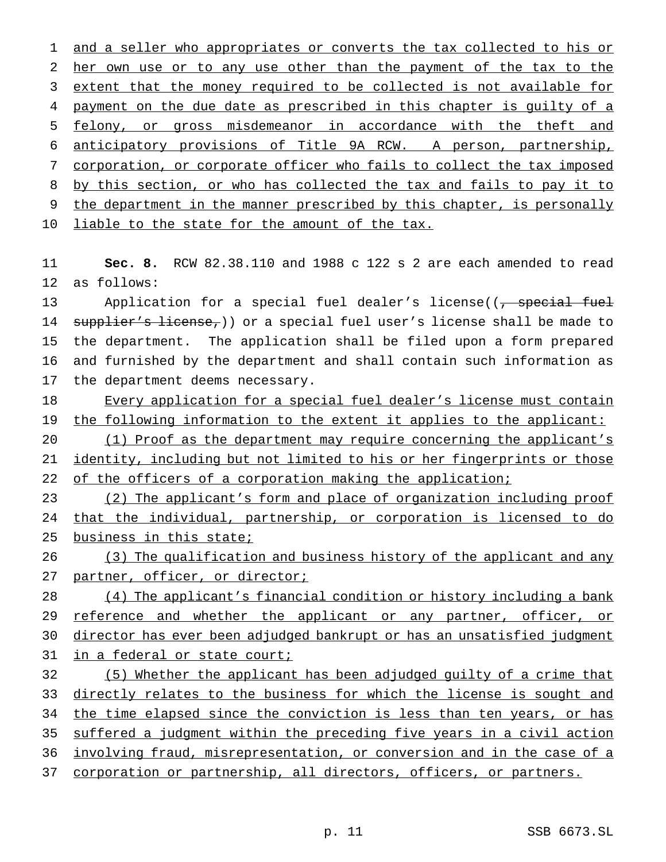1 and a seller who appropriates or converts the tax collected to his or her own use or to any use other than the payment of the tax to the extent that the money required to be collected is not available for 4 payment on the due date as prescribed in this chapter is guilty of a felony, or gross misdemeanor in accordance with the theft and anticipatory provisions of Title 9A RCW. A person, partnership, corporation, or corporate officer who fails to collect the tax imposed by this section, or who has collected the tax and fails to pay it to the department in the manner prescribed by this chapter, is personally 10 liable to the state for the amount of the tax.

 **Sec. 8.** RCW 82.38.110 and 1988 c 122 s 2 are each amended to read as follows:

13 Application for a special fuel dealer's license((<del>, special fuel</del> 14 supplier's license,)) or a special fuel user's license shall be made to the department. The application shall be filed upon a form prepared and furnished by the department and shall contain such information as the department deems necessary.

18 Every application for a special fuel dealer's license must contain 19 the following information to the extent it applies to the applicant:

 (1) Proof as the department may require concerning the applicant's 21 identity, including but not limited to his or her fingerprints or those 22 of the officers of a corporation making the application;

 (2) The applicant's form and place of organization including proof that the individual, partnership, or corporation is licensed to do business in this state;

 (3) The qualification and business history of the applicant and any 27 partner, officer, or director;

28 (4) The applicant's financial condition or history including a bank 29 reference and whether the applicant or any partner, officer, or director has ever been adjudged bankrupt or has an unsatisfied judgment 31 in a federal or state court;

 (5) Whether the applicant has been adjudged guilty of a crime that 33 directly relates to the business for which the license is sought and the time elapsed since the conviction is less than ten years, or has suffered a judgment within the preceding five years in a civil action involving fraud, misrepresentation, or conversion and in the case of a corporation or partnership, all directors, officers, or partners.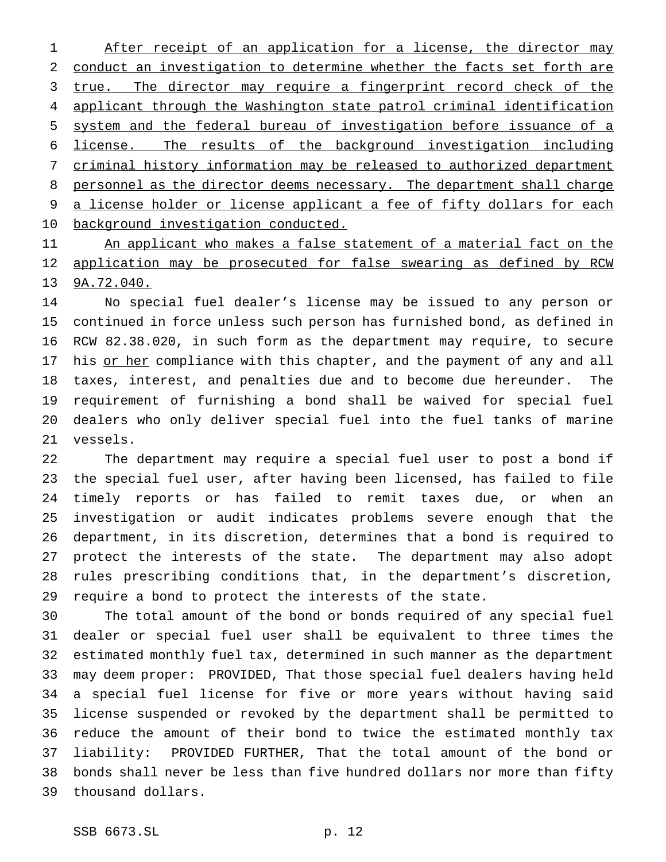1 After receipt of an application for a license, the director may conduct an investigation to determine whether the facts set forth are 3 true. The director may require a fingerprint record check of the applicant through the Washington state patrol criminal identification system and the federal bureau of investigation before issuance of a license. The results of the background investigation including criminal history information may be released to authorized department 8 personnel as the director deems necessary. The department shall charge a license holder or license applicant a fee of fifty dollars for each background investigation conducted.

11 An applicant who makes a false statement of a material fact on the application may be prosecuted for false swearing as defined by RCW 9A.72.040.

 No special fuel dealer's license may be issued to any person or continued in force unless such person has furnished bond, as defined in RCW 82.38.020, in such form as the department may require, to secure 17 his or her compliance with this chapter, and the payment of any and all taxes, interest, and penalties due and to become due hereunder. The requirement of furnishing a bond shall be waived for special fuel dealers who only deliver special fuel into the fuel tanks of marine vessels.

 The department may require a special fuel user to post a bond if the special fuel user, after having been licensed, has failed to file timely reports or has failed to remit taxes due, or when an investigation or audit indicates problems severe enough that the department, in its discretion, determines that a bond is required to protect the interests of the state. The department may also adopt rules prescribing conditions that, in the department's discretion, require a bond to protect the interests of the state.

 The total amount of the bond or bonds required of any special fuel dealer or special fuel user shall be equivalent to three times the estimated monthly fuel tax, determined in such manner as the department may deem proper: PROVIDED, That those special fuel dealers having held a special fuel license for five or more years without having said license suspended or revoked by the department shall be permitted to reduce the amount of their bond to twice the estimated monthly tax liability: PROVIDED FURTHER, That the total amount of the bond or bonds shall never be less than five hundred dollars nor more than fifty thousand dollars.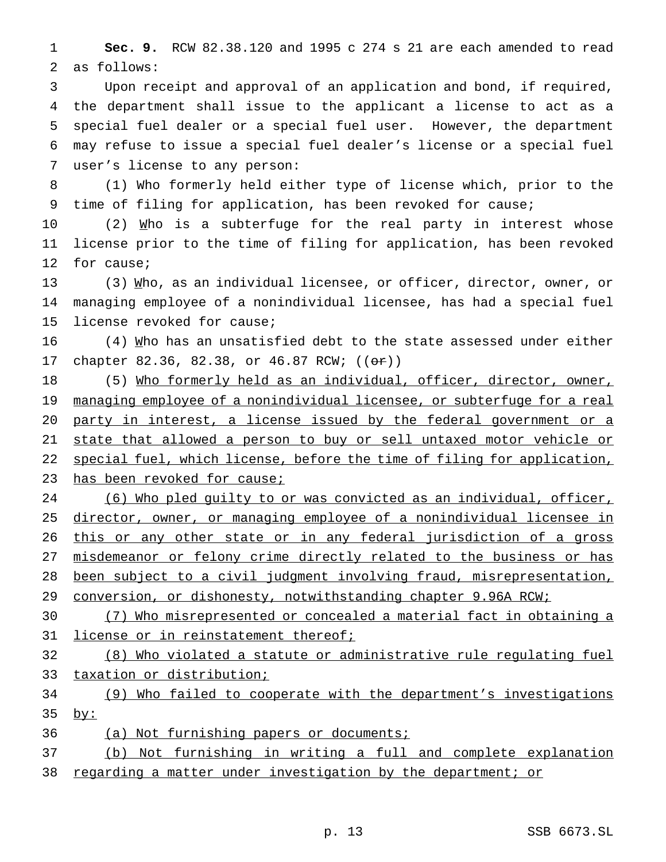**Sec. 9.** RCW 82.38.120 and 1995 c 274 s 21 are each amended to read as follows:

 Upon receipt and approval of an application and bond, if required, the department shall issue to the applicant a license to act as a special fuel dealer or a special fuel user. However, the department may refuse to issue a special fuel dealer's license or a special fuel user's license to any person:

 (1) Who formerly held either type of license which, prior to the time of filing for application, has been revoked for cause;

10 (2) Mho is a subterfuge for the real party in interest whose license prior to the time of filing for application, has been revoked for cause;

13 (3) Mho, as an individual licensee, or officer, director, owner, or managing employee of a nonindividual licensee, has had a special fuel license revoked for cause;

 (4) Who has an unsatisfied debt to the state assessed under either 17 chapter 82.36, 82.38, or 46.87 RCW; (( $\Theta$ r))

18 (5) Who formerly held as an individual, officer, director, owner, 19 managing employee of a nonindividual licensee, or subterfuge for a real party in interest, a license issued by the federal government or a 21 state that allowed a person to buy or sell untaxed motor vehicle or 22 special fuel, which license, before the time of filing for application, 23 has been revoked for cause;

 (6) Who pled guilty to or was convicted as an individual, officer, director, owner, or managing employee of a nonindividual licensee in 26 this or any other state or in any federal jurisdiction of a gross misdemeanor or felony crime directly related to the business or has been subject to a civil judgment involving fraud, misrepresentation, conversion, or dishonesty, notwithstanding chapter 9.96A RCW;

 (7) Who misrepresented or concealed a material fact in obtaining a 31 license or in reinstatement thereof;

 (8) Who violated a statute or administrative rule regulating fuel taxation or distribution;

 (9) Who failed to cooperate with the department's investigations by:

(a) Not furnishing papers or documents;

 (b) Not furnishing in writing a full and complete explanation regarding a matter under investigation by the department; or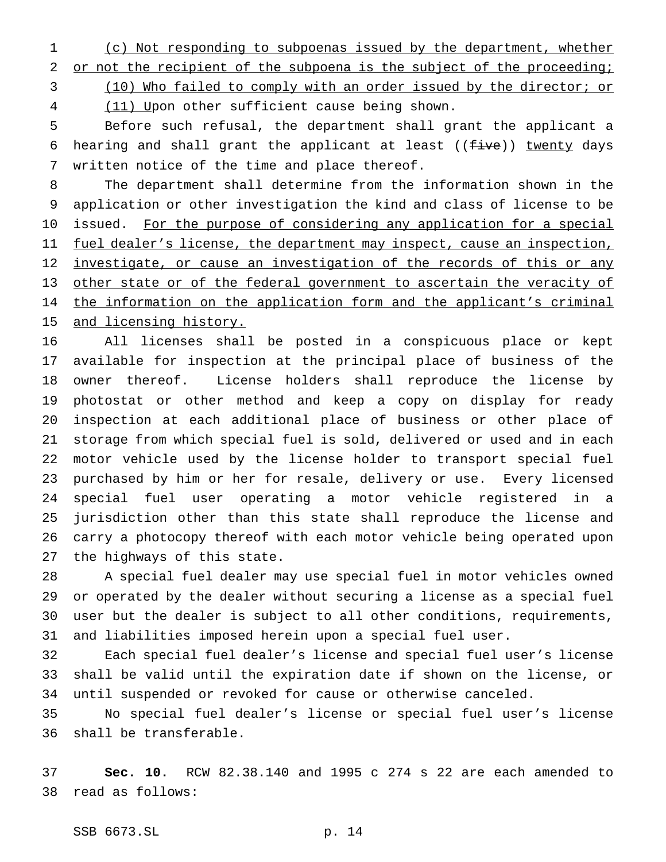(c) Not responding to subpoenas issued by the department, whether

2 or not the recipient of the subpoena is the subject of the proceeding;

(10) Who failed to comply with an order issued by the director; or

4 (11) Upon other sufficient cause being shown.

 Before such refusal, the department shall grant the applicant a 6 hearing and shall grant the applicant at least ( $(f\text{-}ive)$ ) twenty days written notice of the time and place thereof.

 The department shall determine from the information shown in the application or other investigation the kind and class of license to be 10 issued. For the purpose of considering any application for a special 11 fuel dealer's license, the department may inspect, cause an inspection, 12 investigate, or cause an investigation of the records of this or any 13 other state or of the federal government to ascertain the veracity of the information on the application form and the applicant's criminal 15 and licensing history.

 All licenses shall be posted in a conspicuous place or kept available for inspection at the principal place of business of the owner thereof. License holders shall reproduce the license by photostat or other method and keep a copy on display for ready inspection at each additional place of business or other place of storage from which special fuel is sold, delivered or used and in each motor vehicle used by the license holder to transport special fuel purchased by him or her for resale, delivery or use. Every licensed special fuel user operating a motor vehicle registered in a jurisdiction other than this state shall reproduce the license and carry a photocopy thereof with each motor vehicle being operated upon the highways of this state.

 A special fuel dealer may use special fuel in motor vehicles owned or operated by the dealer without securing a license as a special fuel user but the dealer is subject to all other conditions, requirements, and liabilities imposed herein upon a special fuel user.

 Each special fuel dealer's license and special fuel user's license shall be valid until the expiration date if shown on the license, or until suspended or revoked for cause or otherwise canceled.

 No special fuel dealer's license or special fuel user's license shall be transferable.

 **Sec. 10.** RCW 82.38.140 and 1995 c 274 s 22 are each amended to read as follows: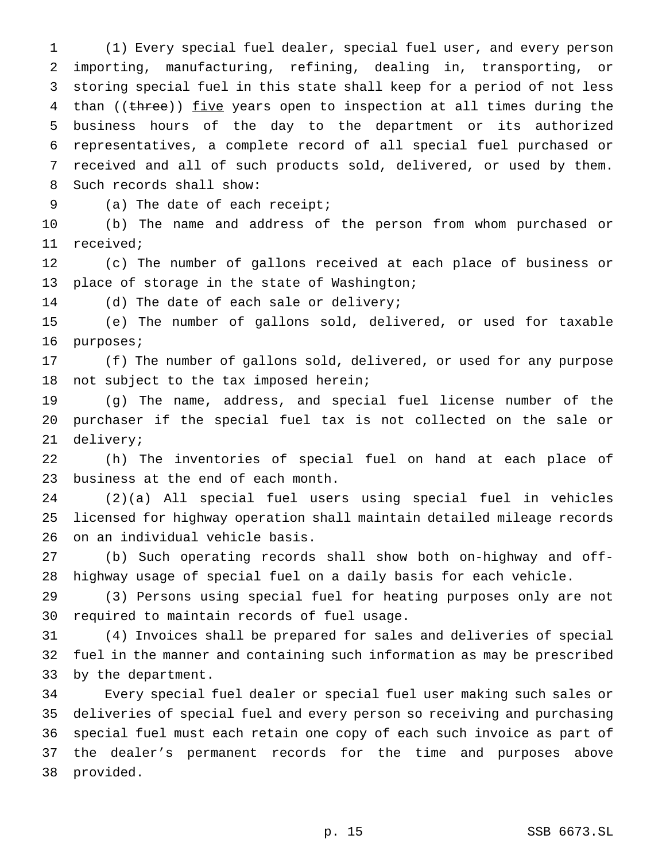(1) Every special fuel dealer, special fuel user, and every person importing, manufacturing, refining, dealing in, transporting, or storing special fuel in this state shall keep for a period of not less 4 than ((three)) five years open to inspection at all times during the business hours of the day to the department or its authorized representatives, a complete record of all special fuel purchased or received and all of such products sold, delivered, or used by them. Such records shall show:

(a) The date of each receipt;

 (b) The name and address of the person from whom purchased or received;

 (c) The number of gallons received at each place of business or place of storage in the state of Washington;

(d) The date of each sale or delivery;

 (e) The number of gallons sold, delivered, or used for taxable purposes;

 (f) The number of gallons sold, delivered, or used for any purpose not subject to the tax imposed herein;

 (g) The name, address, and special fuel license number of the purchaser if the special fuel tax is not collected on the sale or delivery;

 (h) The inventories of special fuel on hand at each place of business at the end of each month.

 (2)(a) All special fuel users using special fuel in vehicles licensed for highway operation shall maintain detailed mileage records on an individual vehicle basis.

 (b) Such operating records shall show both on-highway and off-highway usage of special fuel on a daily basis for each vehicle.

 (3) Persons using special fuel for heating purposes only are not required to maintain records of fuel usage.

 (4) Invoices shall be prepared for sales and deliveries of special fuel in the manner and containing such information as may be prescribed by the department.

 Every special fuel dealer or special fuel user making such sales or deliveries of special fuel and every person so receiving and purchasing special fuel must each retain one copy of each such invoice as part of the dealer's permanent records for the time and purposes above provided.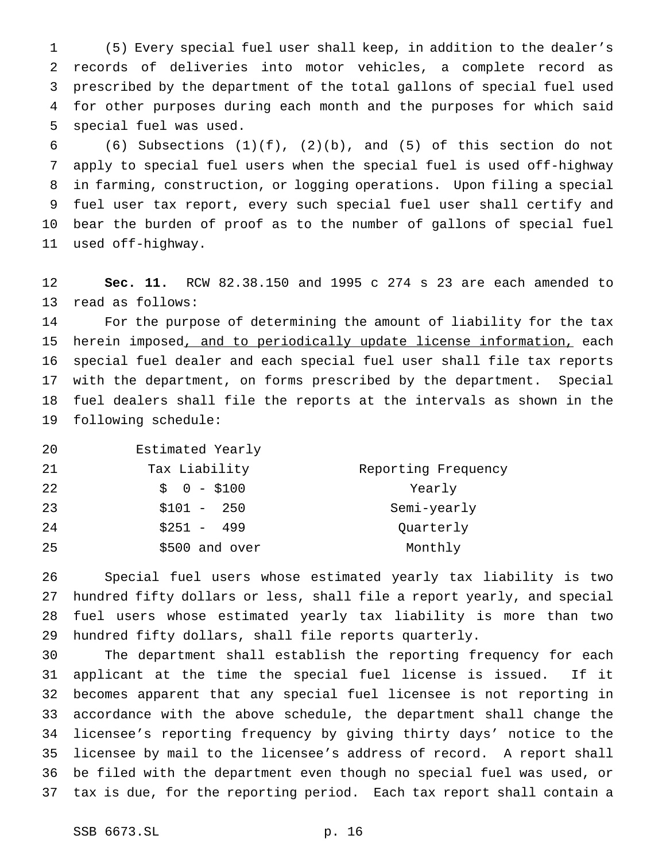(5) Every special fuel user shall keep, in addition to the dealer's records of deliveries into motor vehicles, a complete record as prescribed by the department of the total gallons of special fuel used for other purposes during each month and the purposes for which said special fuel was used.

6 (6) Subsections  $(1)(f)$ ,  $(2)(b)$ , and  $(5)$  of this section do not apply to special fuel users when the special fuel is used off-highway in farming, construction, or logging operations. Upon filing a special fuel user tax report, every such special fuel user shall certify and bear the burden of proof as to the number of gallons of special fuel used off-highway.

 **Sec. 11.** RCW 82.38.150 and 1995 c 274 s 23 are each amended to read as follows:

 For the purpose of determining the amount of liability for the tax herein imposed, and to periodically update license information, each special fuel dealer and each special fuel user shall file tax reports with the department, on forms prescribed by the department. Special fuel dealers shall file the reports at the intervals as shown in the following schedule:

 Estimated Yearly Tax Liability Reporting Frequency 22 \$ 0 - \$100 Yearly \$101 - 250 Semi-yearly 24 \$251 - 499 Quarterly 25 \$500 and over Monthly

 Special fuel users whose estimated yearly tax liability is two hundred fifty dollars or less, shall file a report yearly, and special fuel users whose estimated yearly tax liability is more than two hundred fifty dollars, shall file reports quarterly.

 The department shall establish the reporting frequency for each applicant at the time the special fuel license is issued. If it becomes apparent that any special fuel licensee is not reporting in accordance with the above schedule, the department shall change the licensee's reporting frequency by giving thirty days' notice to the licensee by mail to the licensee's address of record. A report shall be filed with the department even though no special fuel was used, or tax is due, for the reporting period. Each tax report shall contain a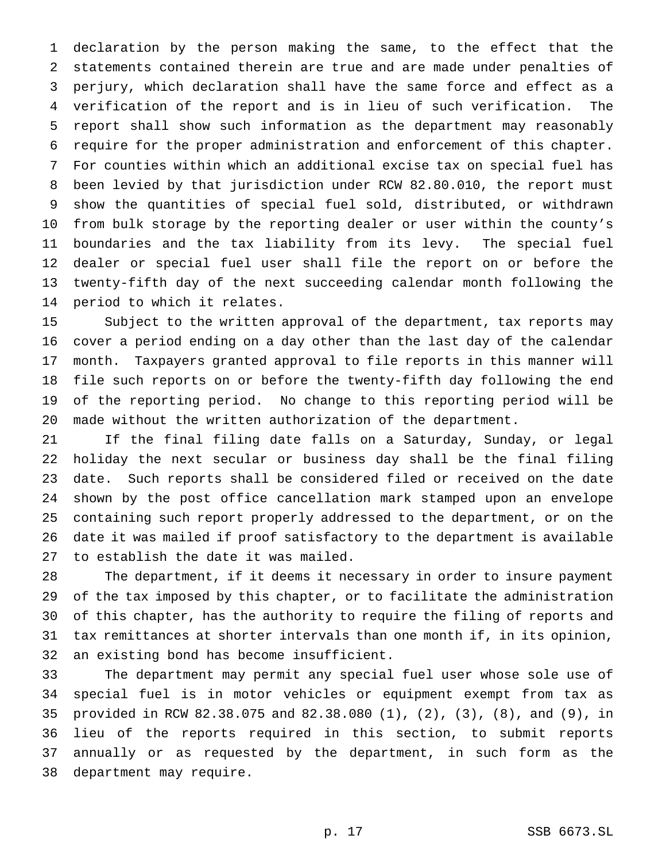declaration by the person making the same, to the effect that the statements contained therein are true and are made under penalties of perjury, which declaration shall have the same force and effect as a verification of the report and is in lieu of such verification. The report shall show such information as the department may reasonably require for the proper administration and enforcement of this chapter. For counties within which an additional excise tax on special fuel has been levied by that jurisdiction under RCW 82.80.010, the report must show the quantities of special fuel sold, distributed, or withdrawn from bulk storage by the reporting dealer or user within the county's boundaries and the tax liability from its levy. The special fuel dealer or special fuel user shall file the report on or before the twenty-fifth day of the next succeeding calendar month following the period to which it relates.

 Subject to the written approval of the department, tax reports may cover a period ending on a day other than the last day of the calendar month. Taxpayers granted approval to file reports in this manner will file such reports on or before the twenty-fifth day following the end of the reporting period. No change to this reporting period will be made without the written authorization of the department.

 If the final filing date falls on a Saturday, Sunday, or legal holiday the next secular or business day shall be the final filing date. Such reports shall be considered filed or received on the date shown by the post office cancellation mark stamped upon an envelope containing such report properly addressed to the department, or on the date it was mailed if proof satisfactory to the department is available to establish the date it was mailed.

 The department, if it deems it necessary in order to insure payment of the tax imposed by this chapter, or to facilitate the administration of this chapter, has the authority to require the filing of reports and tax remittances at shorter intervals than one month if, in its opinion, an existing bond has become insufficient.

 The department may permit any special fuel user whose sole use of special fuel is in motor vehicles or equipment exempt from tax as provided in RCW 82.38.075 and 82.38.080 (1), (2), (3), (8), and (9), in lieu of the reports required in this section, to submit reports annually or as requested by the department, in such form as the department may require.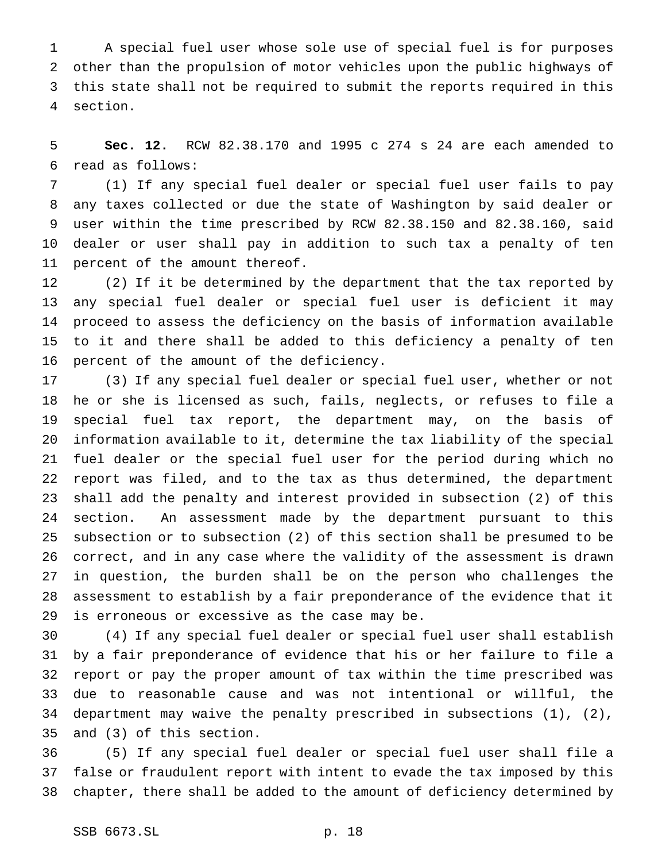A special fuel user whose sole use of special fuel is for purposes other than the propulsion of motor vehicles upon the public highways of this state shall not be required to submit the reports required in this section.

 **Sec. 12.** RCW 82.38.170 and 1995 c 274 s 24 are each amended to read as follows:

 (1) If any special fuel dealer or special fuel user fails to pay any taxes collected or due the state of Washington by said dealer or user within the time prescribed by RCW 82.38.150 and 82.38.160, said dealer or user shall pay in addition to such tax a penalty of ten percent of the amount thereof.

 (2) If it be determined by the department that the tax reported by any special fuel dealer or special fuel user is deficient it may proceed to assess the deficiency on the basis of information available to it and there shall be added to this deficiency a penalty of ten percent of the amount of the deficiency.

 (3) If any special fuel dealer or special fuel user, whether or not he or she is licensed as such, fails, neglects, or refuses to file a special fuel tax report, the department may, on the basis of information available to it, determine the tax liability of the special fuel dealer or the special fuel user for the period during which no report was filed, and to the tax as thus determined, the department shall add the penalty and interest provided in subsection (2) of this section. An assessment made by the department pursuant to this subsection or to subsection (2) of this section shall be presumed to be correct, and in any case where the validity of the assessment is drawn in question, the burden shall be on the person who challenges the assessment to establish by a fair preponderance of the evidence that it is erroneous or excessive as the case may be.

 (4) If any special fuel dealer or special fuel user shall establish by a fair preponderance of evidence that his or her failure to file a report or pay the proper amount of tax within the time prescribed was due to reasonable cause and was not intentional or willful, the department may waive the penalty prescribed in subsections (1), (2), and (3) of this section.

 (5) If any special fuel dealer or special fuel user shall file a false or fraudulent report with intent to evade the tax imposed by this chapter, there shall be added to the amount of deficiency determined by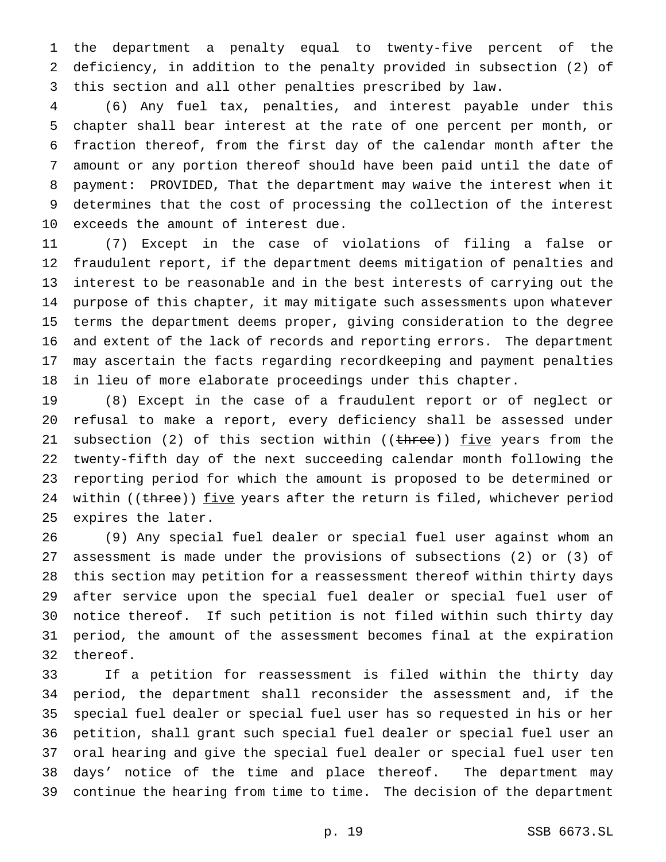the department a penalty equal to twenty-five percent of the deficiency, in addition to the penalty provided in subsection (2) of this section and all other penalties prescribed by law.

 (6) Any fuel tax, penalties, and interest payable under this chapter shall bear interest at the rate of one percent per month, or fraction thereof, from the first day of the calendar month after the amount or any portion thereof should have been paid until the date of payment: PROVIDED, That the department may waive the interest when it determines that the cost of processing the collection of the interest exceeds the amount of interest due.

 (7) Except in the case of violations of filing a false or fraudulent report, if the department deems mitigation of penalties and interest to be reasonable and in the best interests of carrying out the purpose of this chapter, it may mitigate such assessments upon whatever terms the department deems proper, giving consideration to the degree and extent of the lack of records and reporting errors. The department may ascertain the facts regarding recordkeeping and payment penalties in lieu of more elaborate proceedings under this chapter.

 (8) Except in the case of a fraudulent report or of neglect or refusal to make a report, every deficiency shall be assessed under 21 subsection (2) of this section within (( $t$ hree)) five years from the twenty-fifth day of the next succeeding calendar month following the reporting period for which the amount is proposed to be determined or 24 within ((three)) five years after the return is filed, whichever period expires the later.

 (9) Any special fuel dealer or special fuel user against whom an assessment is made under the provisions of subsections (2) or (3) of this section may petition for a reassessment thereof within thirty days after service upon the special fuel dealer or special fuel user of notice thereof. If such petition is not filed within such thirty day period, the amount of the assessment becomes final at the expiration thereof.

 If a petition for reassessment is filed within the thirty day period, the department shall reconsider the assessment and, if the special fuel dealer or special fuel user has so requested in his or her petition, shall grant such special fuel dealer or special fuel user an oral hearing and give the special fuel dealer or special fuel user ten days' notice of the time and place thereof. The department may continue the hearing from time to time. The decision of the department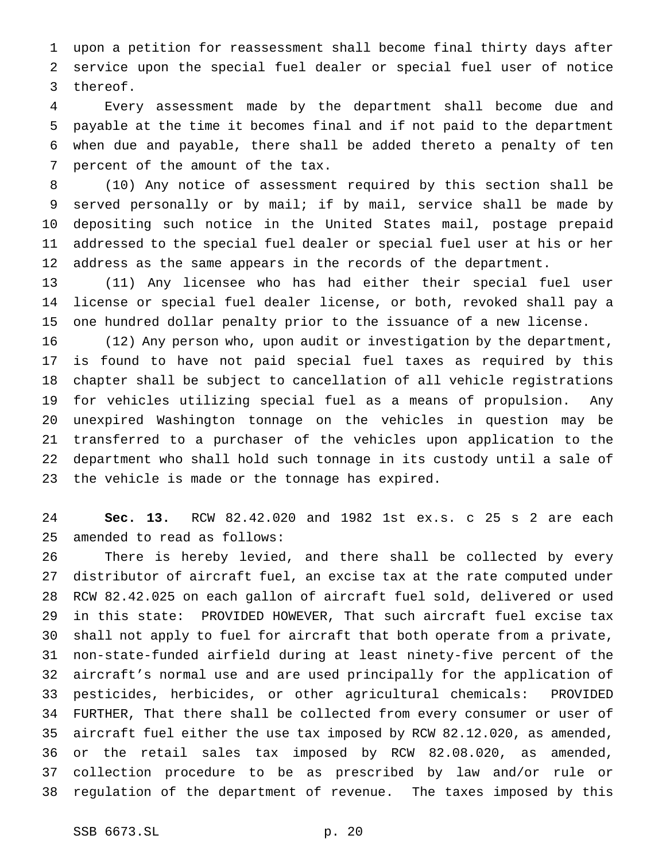upon a petition for reassessment shall become final thirty days after service upon the special fuel dealer or special fuel user of notice thereof.

 Every assessment made by the department shall become due and payable at the time it becomes final and if not paid to the department when due and payable, there shall be added thereto a penalty of ten percent of the amount of the tax.

 (10) Any notice of assessment required by this section shall be served personally or by mail; if by mail, service shall be made by depositing such notice in the United States mail, postage prepaid addressed to the special fuel dealer or special fuel user at his or her address as the same appears in the records of the department.

 (11) Any licensee who has had either their special fuel user license or special fuel dealer license, or both, revoked shall pay a one hundred dollar penalty prior to the issuance of a new license.

 (12) Any person who, upon audit or investigation by the department, is found to have not paid special fuel taxes as required by this chapter shall be subject to cancellation of all vehicle registrations for vehicles utilizing special fuel as a means of propulsion. Any unexpired Washington tonnage on the vehicles in question may be transferred to a purchaser of the vehicles upon application to the department who shall hold such tonnage in its custody until a sale of the vehicle is made or the tonnage has expired.

 **Sec. 13.** RCW 82.42.020 and 1982 1st ex.s. c 25 s 2 are each amended to read as follows:

 There is hereby levied, and there shall be collected by every distributor of aircraft fuel, an excise tax at the rate computed under RCW 82.42.025 on each gallon of aircraft fuel sold, delivered or used in this state: PROVIDED HOWEVER, That such aircraft fuel excise tax shall not apply to fuel for aircraft that both operate from a private, non-state-funded airfield during at least ninety-five percent of the aircraft's normal use and are used principally for the application of pesticides, herbicides, or other agricultural chemicals: PROVIDED FURTHER, That there shall be collected from every consumer or user of aircraft fuel either the use tax imposed by RCW 82.12.020, as amended, or the retail sales tax imposed by RCW 82.08.020, as amended, collection procedure to be as prescribed by law and/or rule or regulation of the department of revenue. The taxes imposed by this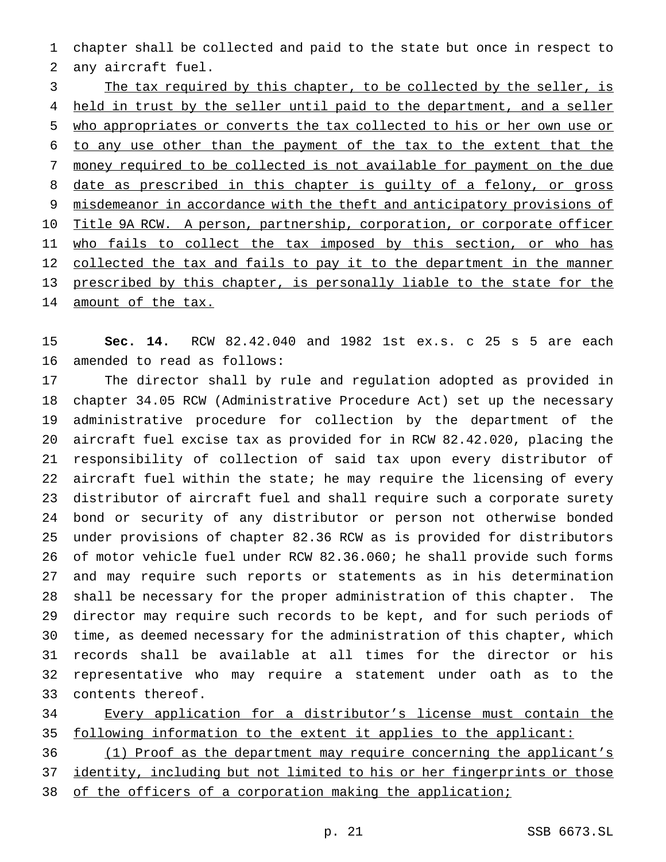chapter shall be collected and paid to the state but once in respect to any aircraft fuel.

3 The tax required by this chapter, to be collected by the seller, is 4 held in trust by the seller until paid to the department, and a seller who appropriates or converts the tax collected to his or her own use or to any use other than the payment of the tax to the extent that the money required to be collected is not available for payment on the due 8 date as prescribed in this chapter is guilty of a felony, or gross misdemeanor in accordance with the theft and anticipatory provisions of 10 Title 9A RCW. A person, partnership, corporation, or corporate officer 11 who fails to collect the tax imposed by this section, or who has 12 collected the tax and fails to pay it to the department in the manner prescribed by this chapter, is personally liable to the state for the 14 amount of the tax.

 **Sec. 14.** RCW 82.42.040 and 1982 1st ex.s. c 25 s 5 are each amended to read as follows:

 The director shall by rule and regulation adopted as provided in chapter 34.05 RCW (Administrative Procedure Act) set up the necessary administrative procedure for collection by the department of the aircraft fuel excise tax as provided for in RCW 82.42.020, placing the responsibility of collection of said tax upon every distributor of aircraft fuel within the state; he may require the licensing of every distributor of aircraft fuel and shall require such a corporate surety bond or security of any distributor or person not otherwise bonded under provisions of chapter 82.36 RCW as is provided for distributors of motor vehicle fuel under RCW 82.36.060; he shall provide such forms and may require such reports or statements as in his determination shall be necessary for the proper administration of this chapter. The director may require such records to be kept, and for such periods of time, as deemed necessary for the administration of this chapter, which records shall be available at all times for the director or his representative who may require a statement under oath as to the contents thereof.

 Every application for a distributor's license must contain the 35 following information to the extent it applies to the applicant:

 (1) Proof as the department may require concerning the applicant's identity, including but not limited to his or her fingerprints or those 38 of the officers of a corporation making the application;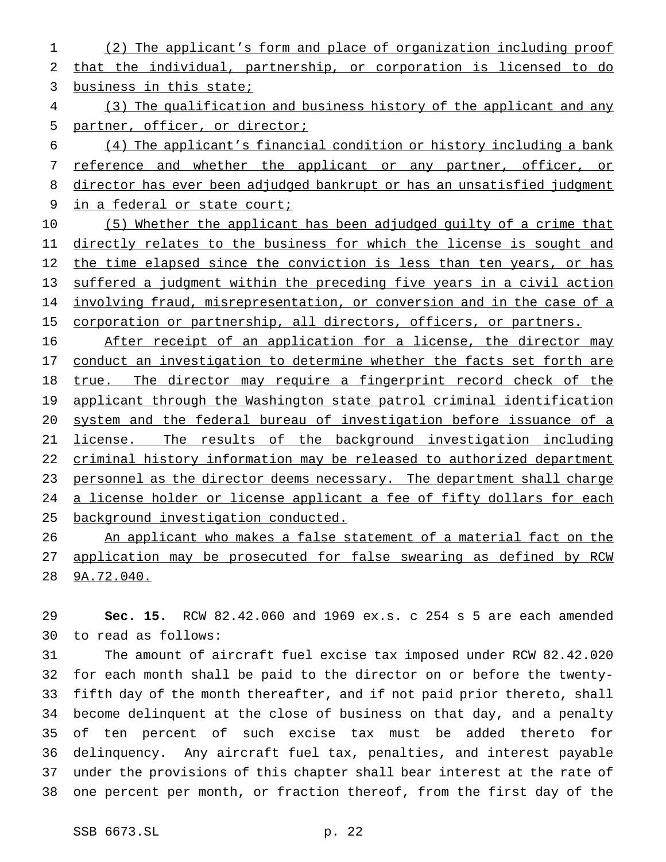(2) The applicant's form and place of organization including proof that the individual, partnership, or corporation is licensed to do business in this state;

 (3) The qualification and business history of the applicant and any partner, officer, or director;

 (4) The applicant's financial condition or history including a bank 7 reference and whether the applicant or any partner, officer, or 8 director has ever been adjudged bankrupt or has an unsatisfied judgment 9 in a federal or state court;

 (5) Whether the applicant has been adjudged guilty of a crime that directly relates to the business for which the license is sought and 12 the time elapsed since the conviction is less than ten years, or has suffered a judgment within the preceding five years in a civil action 14 involving fraud, misrepresentation, or conversion and in the case of a 15 corporation or partnership, all directors, officers, or partners.

 After receipt of an application for a license, the director may 17 conduct an investigation to determine whether the facts set forth are true. The director may require a fingerprint record check of the 19 applicant through the Washington state patrol criminal identification system and the federal bureau of investigation before issuance of a license. The results of the background investigation including criminal history information may be released to authorized department personnel as the director deems necessary. The department shall charge 24 a license holder or license applicant a fee of fifty dollars for each background investigation conducted.

26 An applicant who makes a false statement of a material fact on the application may be prosecuted for false swearing as defined by RCW 9A.72.040.

 **Sec. 15.** RCW 82.42.060 and 1969 ex.s. c 254 s 5 are each amended to read as follows:

 The amount of aircraft fuel excise tax imposed under RCW 82.42.020 for each month shall be paid to the director on or before the twenty- fifth day of the month thereafter, and if not paid prior thereto, shall become delinquent at the close of business on that day, and a penalty of ten percent of such excise tax must be added thereto for delinquency. Any aircraft fuel tax, penalties, and interest payable under the provisions of this chapter shall bear interest at the rate of one percent per month, or fraction thereof, from the first day of the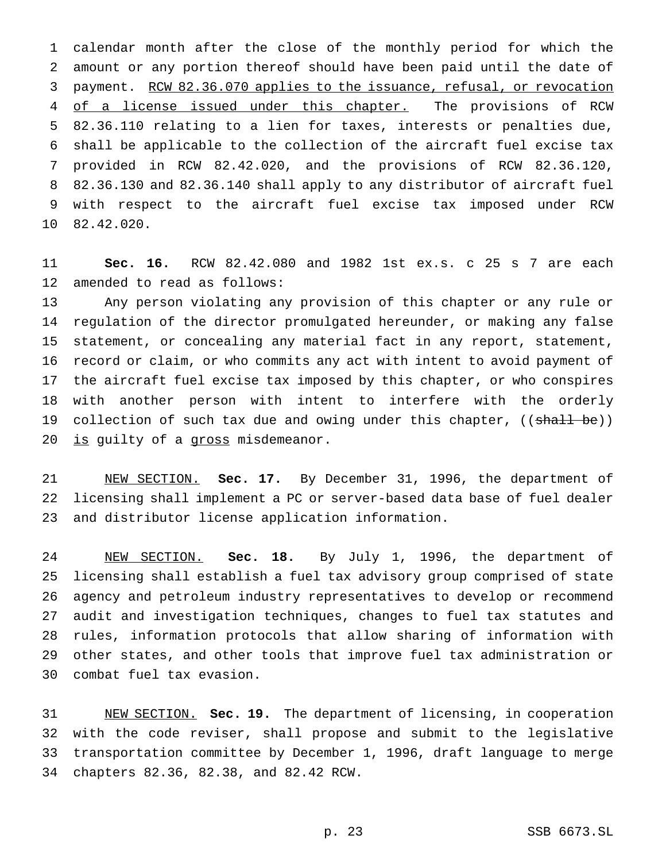calendar month after the close of the monthly period for which the amount or any portion thereof should have been paid until the date of payment. RCW 82.36.070 applies to the issuance, refusal, or revocation 4 of a license issued under this chapter. The provisions of RCW 82.36.110 relating to a lien for taxes, interests or penalties due, shall be applicable to the collection of the aircraft fuel excise tax provided in RCW 82.42.020, and the provisions of RCW 82.36.120, 82.36.130 and 82.36.140 shall apply to any distributor of aircraft fuel with respect to the aircraft fuel excise tax imposed under RCW 82.42.020.

 **Sec. 16.** RCW 82.42.080 and 1982 1st ex.s. c 25 s 7 are each amended to read as follows:

 Any person violating any provision of this chapter or any rule or regulation of the director promulgated hereunder, or making any false statement, or concealing any material fact in any report, statement, record or claim, or who commits any act with intent to avoid payment of the aircraft fuel excise tax imposed by this chapter, or who conspires with another person with intent to interfere with the orderly 19 collection of such tax due and owing under this chapter, ((shall be)) 20 is guilty of a gross misdemeanor.

 NEW SECTION. **Sec. 17.** By December 31, 1996, the department of licensing shall implement a PC or server-based data base of fuel dealer and distributor license application information.

 NEW SECTION. **Sec. 18.** By July 1, 1996, the department of licensing shall establish a fuel tax advisory group comprised of state agency and petroleum industry representatives to develop or recommend audit and investigation techniques, changes to fuel tax statutes and rules, information protocols that allow sharing of information with other states, and other tools that improve fuel tax administration or combat fuel tax evasion.

 NEW SECTION. **Sec. 19.** The department of licensing, in cooperation with the code reviser, shall propose and submit to the legislative transportation committee by December 1, 1996, draft language to merge chapters 82.36, 82.38, and 82.42 RCW.